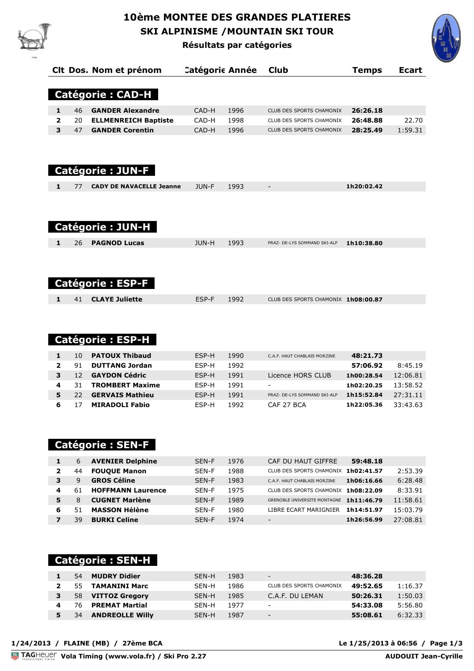

## **10ème MONTEE DES GRANDES PLATIERES SKI ALPINISME /MOUNTAIN SKI TOUR Résultats par catégories**

**Clt Dos. Nom et prénom Catégorie Année Club Temps Ecart**



|                         |    | <b>Catégorie: CAD-H</b>         |       |      |                                     |            |         |
|-------------------------|----|---------------------------------|-------|------|-------------------------------------|------------|---------|
| 1                       | 46 | <b>GANDER Alexandre</b>         | CAD-H | 1996 | <b>CLUB DES SPORTS CHAMONIX</b>     | 26:26.18   |         |
| $\overline{\mathbf{2}}$ | 20 | <b>ELLMENREICH Baptiste</b>     | CAD-H | 1998 | CLUB DES SPORTS CHAMONIX            | 26:48.88   | 22.70   |
| 3                       | 47 | <b>GANDER Corentin</b>          | CAD-H | 1996 | CLUB DES SPORTS CHAMONIX            | 28:25.49   | 1:59.31 |
|                         |    | <b>Catégorie: JUN-F</b>         |       |      |                                     |            |         |
| $\mathbf{1}$            | 77 | <b>CADY DE NAVACELLE Jeanne</b> | JUN-F | 1993 | $\overline{\phantom{a}}$            | 1h20:02.42 |         |
|                         |    | <b>Catégorie: JUN-H</b>         |       |      |                                     |            |         |
|                         |    |                                 |       |      |                                     |            |         |
| 1                       | 26 | <b>PAGNOD Lucas</b>             | JUN-H | 1993 | PRAZ- DE-LYS SOMMAND SKI-ALP        | 1h10:38.80 |         |
|                         |    | <b>Catégorie: ESP-F</b>         |       |      |                                     |            |         |
| 1                       | 41 | <b>CLAYE Juliette</b>           | ESP-F | 1992 | CLUB DES SPORTS CHAMONIX 1h08:00.87 |            |         |

### **Catégorie : ESP-H**

|   | 10 | <b>PATOUX Thibaud</b>  | FSP-H | 1990 | C.A.F. HAUT CHABLAIS MORZINE | 48:21.73   |          |
|---|----|------------------------|-------|------|------------------------------|------------|----------|
|   | 91 | <b>DUTTANG Jordan</b>  | FSP-H | 1992 |                              | 57:06.92   | 8:45.19  |
|   | 12 | <b>GAYDON Cédric</b>   | FSP-H | 1991 | Licence HORS CLUB            | 1h00:28.54 | 12:06.81 |
| 4 |    | <b>TROMBERT Maxime</b> | FSP-H | 1991 | $\overline{\phantom{a}}$     | 1h02:20.25 | 13:58.52 |
|   | フフ | <b>GERVAIS Mathieu</b> | FSP-H | 1991 | PRAZ- DE-LYS SOMMAND SKI-ALP | 1h15:52.84 | 27:31.11 |
|   |    | <b>MIRADOLI Fabio</b>  | FSP-H | 1992 | CAF 27 BCA                   | 1h22:05.36 | 33:43.63 |

### **Catégorie : SEN-F**

|   | 6  | <b>AVENIER Delphine</b>  | SEN-F | 1976 | 59:48.18<br>CAF DU HAUT GIFFRE                    |          |
|---|----|--------------------------|-------|------|---------------------------------------------------|----------|
| 2 | 44 | <b>FOUQUE Manon</b>      | SEN-F | 1988 | 1h02:41.57<br>CLUB DES SPORTS CHAMONIX            | 2:53.39  |
| 3 | 9  | <b>GROS Céline</b>       | SEN-F | 1983 | 1h06:16.66<br>C.A.F. HAUT CHABLAIS MORZINE        | 6:28.48  |
| 4 | 61 | <b>HOFFMANN Laurence</b> | SFN-F | 1975 | 1h08:22.09<br>CLUB DES SPORTS CHAMONIX            | 8:33.91  |
| 5 | 8  | <b>CUGNET Marlène</b>    | SEN-F | 1989 | 1h11:46.79<br><b>GRENOBLE UNIVERSITE MONTAGNE</b> | 11:58.61 |
| 6 |    | <b>MASSON Hélène</b>     | SFN-F | 1980 | 1h14:51.97<br>LIBRE ECART MARIGNIER               | 15:03.79 |
|   | Зd | <b>BURKI Celine</b>      | SEN-F | 1974 | 1h26:56.99<br>$\qquad \qquad \blacksquare$        | 27:08.81 |

### **Catégorie : SEN-H**

|   | 54 | <b>MUDRY Didier</b>    | SFN-H | 1983 | $\overline{\phantom{a}}$ | 48:36.28 |         |
|---|----|------------------------|-------|------|--------------------------|----------|---------|
|   | 55 | TAMANINI Marc          | SFN-H | 1986 | CLUB DES SPORTS CHAMONIX | 49:52.65 | 1:16.37 |
| 3 |    | 58 VITTOZ Gregory      | SFN-H | 1985 | C.A.F. DU LEMAN          | 50:26.31 | 1:50.03 |
|   | 76 | <b>PREMAT Martial</b>  | SFN-H | 1977 | $\overline{\phantom{a}}$ | 54:33.08 | 5:56.80 |
|   | 34 | <b>ANDREOLLE Willy</b> | SFN-H | 1987 | $\overline{\phantom{a}}$ | 55:08.61 | 6:32.33 |

**Vola Timing (www.vola.fr) / Ski Pro 2.27** 

Le 1/25/2013 à 06:56 / Page 1/3<br>AUDOUIT Jean-Cyrille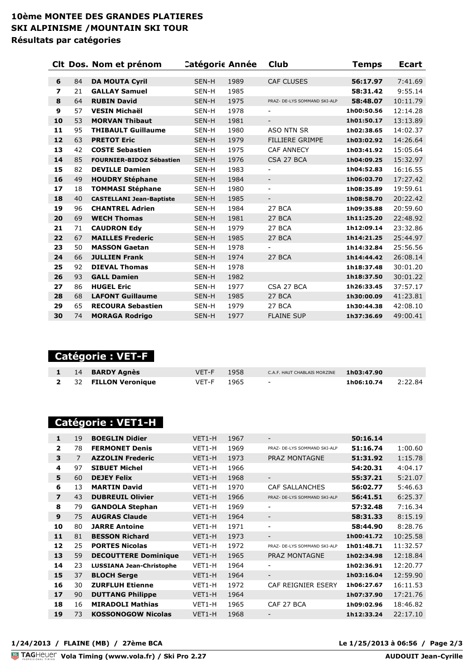#### **10ème MONTEE DES GRANDES PLATIERES SKI ALPINISME /MOUNTAIN SKI TOUR Résultats par catégories**

|                          |    | Clt Dos. Nom et prénom          | <b>Catégoric Année</b> |      | <b>Club</b>                  | <b>Temps</b> | <b>Ecart</b> |
|--------------------------|----|---------------------------------|------------------------|------|------------------------------|--------------|--------------|
|                          |    |                                 |                        |      |                              |              |              |
| 6                        | 84 | <b>DA MOUTA Cyril</b>           | SEN-H                  | 1989 | <b>CAF CLUSES</b>            | 56:17.97     | 7:41.69      |
| $\overline{\phantom{a}}$ | 21 | <b>GALLAY Samuel</b>            | SEN-H                  | 1985 |                              | 58:31.42     | 9:55.14      |
| 8                        | 64 | <b>RUBIN David</b>              | SEN-H                  | 1975 | PRAZ- DE-LYS SOMMAND SKI-ALP | 58:48.07     | 10:11.79     |
| 9                        | 57 | <b>VESIN Michaël</b>            | SEN-H                  | 1978 | $\overline{\phantom{a}}$     | 1h00:50.56   | 12:14.28     |
| 10                       | 53 | <b>MORVAN Thibaut</b>           | SEN-H                  | 1981 | $\overline{\phantom{a}}$     | 1h01:50.17   | 13:13.89     |
| 11                       | 95 | <b>THIBAULT Guillaume</b>       | SEN-H                  | 1980 | <b>ASO NTN SR</b>            | 1h02:38.65   | 14:02.37     |
| 12                       | 63 | <b>PRETOT Eric</b>              | SEN-H                  | 1979 | <b>FILLIERE GRIMPE</b>       | 1h03:02.92   | 14:26.64     |
| 13                       | 42 | <b>COSTE Sebastien</b>          | SEN-H                  | 1975 | <b>CAF ANNECY</b>            | 1h03:41.92   | 15:05.64     |
| 14                       | 85 | <b>FOURNIER-BIDOZ Sébastien</b> | SEN-H                  | 1976 | CSA 27 BCA                   | 1h04:09.25   | 15:32.97     |
| 15                       | 82 | <b>DEVILLE Damien</b>           | SEN-H                  | 1983 | $\overline{\phantom{0}}$     | 1h04:52.83   | 16:16.55     |
| 16                       | 49 | <b>HOUDRY Stéphane</b>          | SEN-H                  | 1984 | $\overline{\phantom{a}}$     | 1h06:03.70   | 17:27.42     |
| 17                       | 18 | <b>TOMMASI Stéphane</b>         | SEN-H                  | 1980 | $\overline{\phantom{a}}$     | 1h08:35.89   | 19:59.61     |
| 18                       | 40 | <b>CASTELLANI Jean-Baptiste</b> | SEN-H                  | 1985 | $\overline{\phantom{a}}$     | 1h08:58.70   | 20:22.42     |
| 19                       | 96 | <b>CHANTREL Adrien</b>          | SEN-H                  | 1984 | 27 BCA                       | 1h09:35.88   | 20:59.60     |
| 20                       | 69 | <b>WECH Thomas</b>              | SEN-H                  | 1981 | 27 BCA                       | 1h11:25.20   | 22:48.92     |
| 21                       | 71 | <b>CAUDRON Edv</b>              | SEN-H                  | 1979 | 27 BCA                       | 1h12:09.14   | 23:32.86     |
| 22                       | 67 | <b>MAILLES Frederic</b>         | SEN-H                  | 1985 | 27 BCA                       | 1h14:21.25   | 25:44.97     |
| 23                       | 50 | <b>MASSON Gaetan</b>            | SEN-H                  | 1978 |                              | 1h14:32.84   | 25:56.56     |
| 24                       | 66 | <b>JULLIEN Frank</b>            | SEN-H                  | 1974 | 27 BCA                       | 1h14:44.42   | 26:08.14     |
| 25                       | 92 | <b>DIEVAL Thomas</b>            | SEN-H                  | 1978 |                              | 1h18:37.48   | 30:01.20     |
| 26                       | 93 | <b>GALL Damien</b>              | SEN-H                  | 1982 |                              | 1h18:37.50   | 30:01.22     |
| 27                       | 86 | <b>HUGEL Eric</b>               | SEN-H                  | 1977 | CSA 27 BCA                   | 1h26:33.45   | 37:57.17     |
| 28                       | 68 | <b>LAFONT Guillaume</b>         | SEN-H                  | 1985 | 27 BCA                       | 1h30:00.09   | 41:23.81     |
| 29                       | 65 | <b>RECOURA Sebastien</b>        | SEN-H                  | 1979 | 27 BCA                       | 1h30:44.38   | 42:08.10     |
| 30                       | 74 | <b>MORAGA Rodrigo</b>           | SEN-H                  | 1977 | <b>FLAINE SUP</b>            | 1h37:36.69   | 49:00.41     |
|                          |    |                                 |                        |      |                              |              |              |

 **Catégorie : VET-F** 

|  | 1 14 BARDY Agnès      | VET-F 1958 | C.A.F. HAUT CHABLAIS MORZINE $1h03:47.90$ |                      |  |
|--|-----------------------|------------|-------------------------------------------|----------------------|--|
|  | 2 32 FILLON Veronique | VET-F 1965 | and the state of the state of the         | $1h06:10.74$ 2:22.84 |  |

### **Catégorie : VET1-H**

| 1                       | 19             | <b>BOEGLIN Didier</b>           | VET1-H | 1967 | $\overline{\phantom{0}}$     | 50:16.14   |          |
|-------------------------|----------------|---------------------------------|--------|------|------------------------------|------------|----------|
| $\overline{2}$          | 78             | <b>FERMONET Denis</b>           | VET1-H | 1969 | PRAZ- DE-LYS SOMMAND SKI-ALP | 51:16.74   | 1:00.60  |
| 3                       | $\overline{7}$ | <b>AZZOLIN Frederic</b>         | VET1-H | 1973 | <b>PRAZ MONTAGNE</b>         | 51:31.92   | 1:15.78  |
| 4                       | 97             | <b>SIBUET Michel</b>            | VET1-H | 1966 |                              | 54:20.31   | 4:04.17  |
| 5                       | 60             | <b>DEJEY Felix</b>              | VET1-H | 1968 | $\overline{\phantom{a}}$     | 55:37.21   | 5:21.07  |
| 6                       | 13             | <b>MARTIN David</b>             | VET1-H | 1970 | CAF SALLANCHES               | 56:02.77   | 5:46.63  |
| $\overline{\mathbf{z}}$ | 43             | <b>DUBREUIL Olivier</b>         | VET1-H | 1966 | PRAZ- DE-LYS SOMMAND SKI-ALP | 56:41.51   | 6:25.37  |
| 8                       | 79             | <b>GANDOLA Stephan</b>          | VET1-H | 1969 | ۰                            | 57:32.48   | 7:16.34  |
| 9                       | 75             | <b>AUGRAS Claude</b>            | VET1-H | 1964 | $\overline{\phantom{a}}$     | 58:31.33   | 8:15.19  |
| 10                      | 80             | <b>JARRE Antoine</b>            | VET1-H | 1971 | ٠                            | 58:44.90   | 8:28.76  |
| 11                      | 81             | <b>BESSON Richard</b>           | VET1-H | 1973 | $\overline{\phantom{0}}$     | 1h00:41.72 | 10:25.58 |
| 12                      | 25             | <b>PORTES Nicolas</b>           | VET1-H | 1972 | PRAZ- DE-LYS SOMMAND SKI-ALP | 1h01:48.71 | 11:32.57 |
| 13                      | 59             | <b>DECOUTTERE Dominique</b>     | VET1-H | 1965 | <b>PRAZ MONTAGNE</b>         | 1h02:34.98 | 12:18.84 |
| 14                      | 23             | <b>LUSSIANA Jean-Christophe</b> | VET1-H | 1964 | ۰                            | 1h02:36.91 | 12:20.77 |
| 15                      | 37             | <b>BLOCH Serge</b>              | VET1-H | 1964 | $\overline{\phantom{a}}$     | 1h03:16.04 | 12:59.90 |
| 16                      | 30             | <b>ZURFLUH Etienne</b>          | VET1-H | 1972 | CAF REIGNIER ESERY           | 1h06:27.67 | 16:11.53 |
| 17                      | 90             | <b>DUTTANG Philippe</b>         | VET1-H | 1964 |                              | 1h07:37.90 | 17:21.76 |
| 18                      | 16             | <b>MIRADOLI Mathias</b>         | VET1-H | 1965 | CAF 27 BCA                   | 1h09:02.96 | 18:46.82 |
| 19                      | 73             | <b>KOSSONOGOW Nicolas</b>       | VET1-H | 1968 |                              | 1h12:33.24 | 22:17.10 |